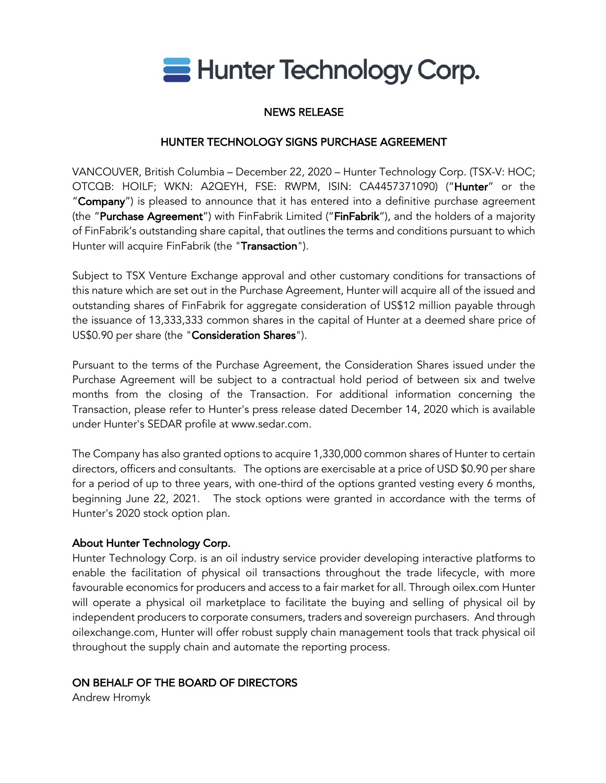

# NEWS RELEASE

# HUNTER TECHNOLOGY SIGNS PURCHASE AGREEMENT

VANCOUVER, British Columbia – December 22, 2020 – Hunter Technology Corp. (TSX-V: HOC; OTCQB: HOILF; WKN: A2QEYH, FSE: RWPM, ISIN: CA4457371090) ("Hunter" or the "Company") is pleased to announce that it has entered into a definitive purchase agreement (the "Purchase Agreement") with FinFabrik Limited ("FinFabrik"), and the holders of a majority of FinFabrik's outstanding share capital, that outlines the terms and conditions pursuant to which Hunter will acquire FinFabrik (the "Transaction").

Subject to TSX Venture Exchange approval and other customary conditions for transactions of this nature which are set out in the Purchase Agreement, Hunter will acquire all of the issued and outstanding shares of FinFabrik for aggregate consideration of US\$12 million payable through the issuance of 13,333,333 common shares in the capital of Hunter at a deemed share price of US\$0.90 per share (the "Consideration Shares").

Pursuant to the terms of the Purchase Agreement, the Consideration Shares issued under the Purchase Agreement will be subject to a contractual hold period of between six and twelve months from the closing of the Transaction. For additional information concerning the Transaction, please refer to Hunter's press release dated December 14, 2020 which is available under Hunter's SEDAR profile at www.sedar.com.

The Company has also granted options to acquire 1,330,000 common shares of Hunter to certain directors, officers and consultants. The options are exercisable at a price of USD \$0.90 per share for a period of up to three years, with one-third of the options granted vesting every 6 months, beginning June 22, 2021. The stock options were granted in accordance with the terms of Hunter's 2020 stock option plan.

# About Hunter Technology Corp.

Hunter Technology Corp. is an oil industry service provider developing interactive platforms to enable the facilitation of physical oil transactions throughout the trade lifecycle, with more favourable economics for producers and access to a fair market for all. Through oilex.com Hunter will operate a physical oil marketplace to facilitate the buying and selling of physical oil by independent producers to corporate consumers, traders and sovereign purchasers. And through oilexchange.com, Hunter will offer robust supply chain management tools that track physical oil throughout the supply chain and automate the reporting process.

# ON BEHALF OF THE BOARD OF DIRECTORS

Andrew Hromyk